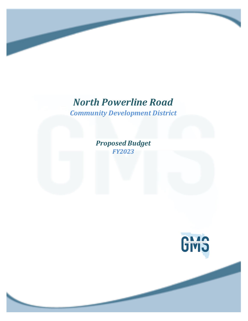# *North Powerline Road*

*Community Development District*

*Proposed Budget FY2023*

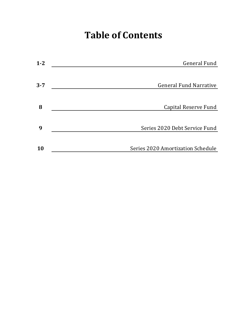# **Table of Contents**

| $1 - 2$ | General Fund                      |
|---------|-----------------------------------|
|         |                                   |
| $3 - 7$ | <b>General Fund Narrative</b>     |
|         |                                   |
| 8       | Capital Reserve Fund              |
|         |                                   |
| 9       | Series 2020 Debt Service Fund     |
|         |                                   |
| 10      | Series 2020 Amortization Schedule |
|         |                                   |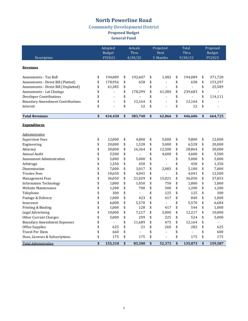### **Community Development District**

**Proposed Budget** 

**General Fund** 

|                                         | Adopted          |         | Actuals         |         | Projected               |                |                 | Total          | Proposed                |         |  |
|-----------------------------------------|------------------|---------|-----------------|---------|-------------------------|----------------|-----------------|----------------|-------------------------|---------|--|
| Description                             | Budget<br>FY2022 |         | Thru<br>4/30/22 |         | <b>Next</b><br>5 Months |                | Thru<br>9/30/22 |                | <b>Budget</b><br>FY2023 |         |  |
|                                         |                  |         |                 |         |                         |                |                 |                |                         |         |  |
| <b>Revenues</b>                         |                  |         |                 |         |                         |                |                 |                |                         |         |  |
| Assessments - Tax Roll                  | \$               | 194,089 | \$              | 192,607 | \$                      | 1,482          | \$              | 194,089        | \$                      | 371,728 |  |
| Assessments - Direct Bill (Platted)     | \$               | 178,956 | \$              | 658     | \$                      | $\overline{a}$ | \$              | 658            | \$                      | 153,297 |  |
| Assessments - Direct Bill (Unplatted)   | \$               | 61,385  | \$              |         | \$                      |                | \$              | ÷,             | \$                      | 25,589  |  |
| Assessments - Lot Closings              | \$               |         | \$              | 178,299 | \$                      | 61,384         | \$              | 239,683        | \$                      |         |  |
| Developer Contributions                 | \$               |         | \$              |         | \$                      |                | \$              |                | \$                      | 114,111 |  |
| <b>Boundary Amendment Contributions</b> | \$               | ÷.      | \$              | 12,164  | \$                      |                | \$              | 12,164         | \$                      |         |  |
| Interest                                | \$               | ÷,      | \$              | 12      | \$                      | ÷,             | \$              | 12             | \$                      |         |  |
| <b>Total Revenues</b>                   | \$               | 434,430 | \$              | 383,740 | \$                      | 62,866         | \$              | 446,606        | \$                      | 664,725 |  |
|                                         |                  |         |                 |         |                         |                |                 |                |                         |         |  |
| <b>Expenditures</b>                     |                  |         |                 |         |                         |                |                 |                |                         |         |  |
| <u>Administrative</u>                   |                  |         |                 |         |                         |                |                 |                |                         |         |  |
| <b>Supervisor Fees</b>                  | \$               | 12,000  | \$              | 4,800   | \$                      | 5,000          | \$              | 9,800          | \$                      | 12,000  |  |
| Engineering                             | \$               | 20,000  | \$              | 1,528   | \$                      | 5,000          | \$              | 6,528          | \$                      | 20,000  |  |
| Attorney                                | \$               | 30,000  | \$              | 16,364  | \$                      | 12,500         | \$              | 28,864         | \$                      | 30,000  |  |
| Annual Audit                            | \$               | 5,500   | \$              |         | \$                      | 4,600          | \$              | 4,600          | \$                      | 5,500   |  |
| <b>Assessment Administration</b>        | \$               | 5,000   | \$              | 5,000   | \$                      | $\blacksquare$ | \$              | 5,000          | \$                      | 5,000   |  |
| Arbitrage                               | \$               | 1,350   | \$              | 450     | \$                      | ÷              | \$              | 450            | \$                      | 1,350   |  |
| Dissemination                           | \$               | 7,000   | \$              | 3,017   | \$                      | 2,083          | \$              | 5,100          | \$                      | 7,000   |  |
| <b>Trustee Fees</b>                     | \$               | 10,650  | \$              | 4,041   | \$                      | $\overline{a}$ | \$              | 4,041          | \$                      | 12,500  |  |
| <b>Management Fees</b>                  | \$               | 36,050  | \$              | 21,029  | \$                      | 15,021         | \$              | 36,050         | \$                      | 37,853  |  |
| <b>Information Technology</b>           | \$               | 1,800   | \$              | 1,050   | \$                      | 750            | \$              | 1,800          | \$                      | 1,800   |  |
| Website Maintenance                     | \$               | 1,200   | \$              | 700     | \$                      | 500            | \$              | 1,200          | \$                      | 1,200   |  |
| Telephone                               | \$               | 300     | \$              | $\sim$  | \$                      | 125            | \$              | 125            | \$                      | 300     |  |
| Postage & Delivery                      | \$               | 1,000   | \$              | 423     | \$                      | 417            | \$              | 840            | \$                      | 1,000   |  |
| Insurance                               | \$               | 6,000   | \$              | 5,570   | \$                      | $\frac{1}{2}$  | \$              | 5,570          | \$                      | 6,684   |  |
| Printing & Binding                      | \$               | 1,000   | \$              | 128     | \$                      | 417            | \$              | 544            | \$                      | 1,000   |  |
| Legal Advertising                       | \$               | 10,000  | \$              | 7,217   | \$                      | 5,000          | \$              | 12,217         | \$                      | 10,000  |  |
| Other Current Charges                   | \$               | 5,000   | \$              | 299     | \$                      | 225            | \$              | 524            | \$                      | 5,000   |  |
| <b>Boundary Amendment Expenses</b>      | \$               |         | \$              | 11,689  | \$                      | 475            | \$              | 12,164         | \$                      |         |  |
| Office Supplies                         | \$               | 625     | \$              | 21      | \$                      | 260            | \$              | 282            | \$                      | 625     |  |
| <b>Travel Per Diem</b>                  | \$               | 660     | \$              | $\sim$  | \$                      | $\overline{a}$ | \$              | $\overline{a}$ | \$                      | 600     |  |
| Dues, Licenses & Subscriptions          | \$               | 175     | \$              | 175     | \$                      | $\blacksquare$ | \$              | 175            | \$                      | 175     |  |
| <b>Total Administrative</b>             | \$               | 155,310 | \$              | 83,500  | \$                      | 52,373         | \$              | 135,873        | \$                      | 159,587 |  |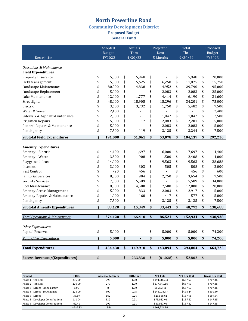### **Community Development District**

**Proposed Budget** 

**General Fund** 

|                                           | Adopted |                          | Actuals |                 | Projected |                  | Total   |                 | Proposed |                         |
|-------------------------------------------|---------|--------------------------|---------|-----------------|-----------|------------------|---------|-----------------|----------|-------------------------|
| Description                               |         | <b>Budget</b><br>FY2022  |         | Thru<br>4/30/22 |           | Next<br>5 Months |         | Thru<br>9/30/22 |          | <b>Budget</b><br>FY2023 |
|                                           |         |                          |         |                 |           |                  |         |                 |          |                         |
| <b>Operations &amp; Maintenance</b>       |         |                          |         |                 |           |                  |         |                 |          |                         |
| <b>Field Expenditures</b>                 |         |                          |         |                 |           |                  |         |                 |          |                         |
| Property Insurance                        | \$      | 5,000                    | \$      | 5,948           | \$        |                  | \$      | 5,948           | \$       | 20,000                  |
| Field Management                          | \$      | 15,000                   | \$      | 5,625           | \$        | 6,250            | \$      | 11,875          | \$       | 15,750                  |
| Landscape Maintenance                     | \$      | 80,000                   | \$      | 14,838          | \$        | 14,952           | \$      | 29,790          | \$       | 95,000                  |
| Landscape Replacement                     | \$      | 5,000                    | \$      |                 | \$        | 2,083            | \$      | 2,083           | \$       | 25,000                  |
| Lake Maintenance                          | \$      | 12,000                   | \$      | 1,777           | \$        | 4,414            | \$      | 6,190           | \$       | 21,600                  |
| Streetlights                              | \$      | 48,000                   | \$      | 18,905          | \$        | 15,296           | \$      | 34,201          | \$       | 75,000                  |
| Electric                                  | \$      | 3,600                    | \$      | 3,732           | \$        | 1,750            | \$      | 5,482           | \$       | 7,500                   |
| Water & Sewer                             | \$      | 2,400                    | \$      |                 | \$        |                  | \$      |                 | \$       | 2,400                   |
| Sidewalk & Asphalt Maintenance            | \$      | 2,500                    | \$      |                 | \$        | 1,042            | \$      | 1,042           | \$       | 2,500                   |
| <b>Irrigation Repairs</b>                 | \$      | 5,000                    | \$      | 117             | \$        | 2,083            | \$      | 2,201           | \$       | 5,000                   |
| General Repairs & Maintenance             | \$      | 5,000                    | \$      |                 | \$        | 2,083            | \$      | 2,083           | \$       | 15,000                  |
| Contingency                               | \$      | 7,500                    | \$      | 119             | \$        | 3,125            | \$      | 3,244           | \$       | 7,500                   |
| <b>Subtotal Field Expenditures</b>        | \$      | 191,000                  | \$      | 51,061          | \$        | 53,078           | \$      | 104,139         | \$       | 292,250                 |
|                                           |         |                          |         |                 |           |                  |         |                 |          |                         |
| <b>Amenity Expenditures</b>               |         |                          |         |                 |           |                  |         |                 |          |                         |
| Amenity - Electric                        | \$      | 14,400                   | \$      | 1,697           | \$        | 6,000            | \$      | 7,697           | \$       | 14,400                  |
| Amenity - Water                           | \$      | 3,500                    | \$      | 908             | \$        | 1,500            | \$      | 2,408           | \$       | 4,000                   |
| Playground Lease                          | \$      | 14,000                   | \$      | $\overline{a}$  | \$        | 9,563            | \$      | 9,563           | \$       | 28,688                  |
| Internet                                  | \$      | 3,000                    | \$      | 303             | \$        | 505              | \$      | 808             | \$       | 2,000                   |
| Pest Control                              | \$      | 720                      | \$      | 456             | \$        |                  | \$      | 456             | \$       | 600                     |
| Janitorial Services                       | \$      | 8,500                    | \$      | 904             | \$        | 2,750            | \$      | 3,654           | \$       | 7,500                   |
| <b>Security Services</b>                  | \$      | 7,500                    | \$      | 5,589           | \$        |                  | \$      | 5,589           | \$       | 34,000                  |
| Pool Maintenance                          | \$      | 18,000                   | \$      | 4,500           | \$        | 7,500            | \$      | 12,000          | \$       | 20,000                  |
| Amenity Access Management                 | \$      | 5,000                    | \$      | 833             | \$        | 2,083            | \$      | 2,917           | \$       | 5,000                   |
| Amenity Repairs & Maintenance             | \$      | 1,000                    | \$      | 160             | \$        | 417              | \$      | 577             | \$       | 15,000                  |
| Contingency                               | \$      | 7,500                    | \$      | $\overline{a}$  | \$        | 3,125            | \$<br>Ψ | 3,125           | \$       | 7,500                   |
| <b>Subtotal Amenity Expenditures</b>      | \$      | 83,120                   | \$      | 15,349          | \$        | 33,443           | \$      | 48,792          | \$       | 138,688                 |
|                                           |         |                          |         |                 |           |                  |         |                 |          |                         |
| <b>Total Operations &amp; Maintenance</b> | \$      | 274,120                  | \$      | 66,410          | \$        | 86,521           | \$      | 152,931         | \$       | 430,938                 |
|                                           |         |                          |         |                 |           |                  |         |                 |          |                         |
| Other Expenditures                        |         |                          |         |                 |           |                  |         |                 |          |                         |
| <b>Capital Reserves</b>                   | \$      | 5,000                    | \$      |                 | \$        | 5,000            | \$      | 5,000           | \$       | 74,200                  |
| <b>Total Other Expenditures</b>           | \$      | 5,000                    | \$      | ٠               | \$        | 5,000            | \$      | 5,000           | \$       | 74,200                  |
|                                           |         |                          |         |                 |           |                  |         |                 |          |                         |
| <b>Total Expenditures</b>                 | \$      | 434,430                  | \$      | 149,910         | \$        | 143,894          | \$      | 293,804         | \$       | 664,725                 |
| <b>Excess Revenues/(Expenditures)</b>     |         |                          |         | 233,830         | \$        |                  |         |                 |          |                         |
|                                           | \$      | $\overline{\phantom{a}}$ | \$      |                 |           | (81,028)         | \$      | 152,802         | \$       |                         |

| Product                           | ERU's   | <b>Assessable Units</b> | ERU/Unit | <b>Net Total</b> | <b>Net Per Unit</b> | <b>Gross Per Unit</b> |
|-----------------------------------|---------|-------------------------|----------|------------------|---------------------|-----------------------|
| Phase 1 - Tax Roll                | 295.00  | 295                     | $1.00\,$ | \$194.088.33     | \$657.93            | \$707.45              |
| Phase 2 - Tax Roll                | 270.00  | 270                     | 1.00     | \$177.640.16     | \$657.93            | \$707.45              |
| Phase 3 - Direct - Single Family  | 8.00    | 8                       | 1.00     | \$5.263.41       | \$657.93            | \$707.45              |
| Phase 3 - Direct - Townhomes      | 225.00  | 300                     | 0.75     | \$148.033.47     | \$493.44            | \$530.59              |
| Phase 4 - Direct                  | 38.89   | 162                     | 0.24     | \$25.588.61      | \$157.95            | \$169.84              |
| Phase 5 - Developer Contributions | 111.04  | 532                     | 0.21     | \$73.052.96      | \$137.32            | \$147.65              |
| Phase 6 - Developer Contributions | 62.41   | 299                     | 0.21     | \$41.057.96      | \$137.32            | \$147.65              |
|                                   | 1010.33 | 1866                    |          | \$664,724.90     |                     |                       |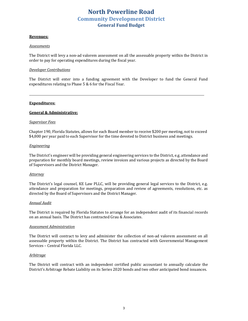### **North Powerline Road Community Development District General Fund Budget**

#### **Revenues:**

#### *Assessments*

The District will levy a non-ad valorem assessment on all the assessable property within the District in order to pay for operating expenditures during the fiscal year.

#### *Developer Contributions*

The District will enter into a funding agreement with the Developer to fund the General Fund expenditures relating to Phase  $5 & 6$  for the Fiscal Year.

#### **Expenditures:**

#### **General & Administrative:**

#### *Supervisor Fees*

Chapter 190, Florida Statutes, allows for each Board member to receive \$200 per meeting, not to exceed \$4,800 per year paid to each Supervisor for the time devoted to District business and meetings.

#### *Engineering*

The District's engineer will be providing general engineering services to the District, e.g. attendance and preparation for monthly board meetings, review invoices and various projects as directed by the Board of Supervisors and the District Manager.

#### *Attorney*

The District's legal counsel, KE Law PLLC, will be providing general legal services to the District, e.g. attendance and preparation for meetings, preparation and review of agreements, resolutions, etc. as directed by the Board of Supervisors and the District Manager.

#### *Annual Audit*

The District is required by Florida Statutes to arrange for an independent audit of its financial records on an annual basis. The District has contracted Grau & Associates.

#### *Assessment Administration*

The District will contract to levy and administer the collection of non-ad valorem assessment on all assessable property within the District. The District has contracted with Governmental Management Services - Central Florida LLC.

#### *Arbitrage*

The District will contract with an independent certified public accountant to annually calculate the District's Arbitrage Rebate Liability on its Series 2020 bonds and two other anticipated bond issuances.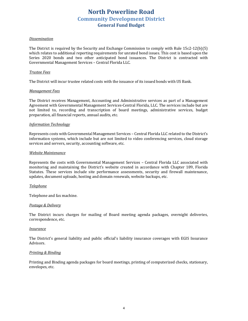### **North Powerline Road Community Development District General Fund Budget**

#### *Dissemination*

The District is required by the Security and Exchange Commission to comply with Rule  $15c2-12(b)(5)$ which relates to additional reporting requirements for unrated bond issues. This cost is based upon the Series 2020 bonds and two other anticipated bond issuances. The District is contracted with Governmental Management Services - Central Florida LLC.

#### *Trustee Fees*

The District will incur trustee related costs with the issuance of its issued bonds with US Bank.

#### *Management Fees*

The District receives Management, Accounting and Administrative services as part of a Management Agreement with Governmental Management Services-Central Florida, LLC. The services include but are not limited to, recording and transcription of board meetings, administrative services, budget preparation, all financial reports, annual audits, etc.

#### *Information Technology*

Represents costs with Governmental Management Services – Central Florida LLC related to the District's information systems, which include but are not limited to video conferencing services, cloud storage services and servers, security, accounting software, etc.

#### *Website Maintenance*

Represents the costs with Governmental Management Services - Central Florida LLC associated with monitoring and maintaining the District's website created in accordance with Chapter 189, Florida Statutes. These services include site performance assessments, security and firewall maintenance, updates, document uploads, hosting and domain renewals, website backups, etc.

#### *Telephone*

Telephone and fax machine.

#### *Postage & Delivery*

The District incurs charges for mailing of Board meeting agenda packages, overnight deliveries, correspondence, etc.

#### *Insurance*

The District's general liability and public official's liability insurance coverages with EGIS Insurance Advisors. 

#### *Printing & Binding*

Printing and Binding agenda packages for board meetings, printing of computerized checks, stationary, envelopes, etc.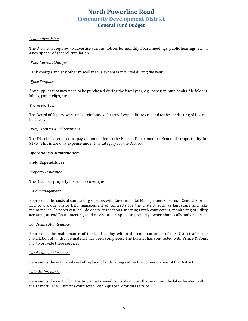## **North Powerline Road Community Development District General Fund Budget**

#### *Legal Advertising*

The District is required to advertise various notices for monthly Board meetings, public hearings, etc. in a newspaper of general circulation.

#### **Other Current Charges**

Bank charges and any other miscellaneous expenses incurred during the year.

#### *Office Supplies*

Any supplies that may need to be purchased during the fiscal year, e.g., paper, minute books, file folders, labels, paper clips, etc.

#### *Travel Per Diem*

The Board of Supervisors can be reimbursed for travel expenditures related to the conducting of District business.

#### *Dues, Licenses & Subscriptions*

The District is required to pay an annual fee to the Florida Department of Economic Opportunity for \$175. This is the only expense under this category for the District.

#### **Operations & Maintenance:**

#### **Field Expenditures**

#### **Property Insurance**

The District's property insurance coverages.

#### *Field Management*

Represents the costs of contracting services with Governmental Management Services - Central Florida LLC to provide onsite field management of contracts for the District such as landscape and lake maintenance. Services can include onsite inspections, meetings with contractors, monitoring of utility accounts, attend Board meetings and receive and respond to property owner phone calls and emails.

#### *Landscape Maintenance*

Represents the maintenance of the landscaping within the common areas of the District after the installation of landscape material has been completed. The District has contracted with Prince & Sons, Inc. to provide these services.

#### *Landscape Replacement*

Represents the estimated cost of replacing landscaping within the common areas of the District.

#### *Lake Maintenance*

Represents the cost of contracting aquatic weed control services that maintain the lakes located within the District. The District is contracted with Aquagenix for this service.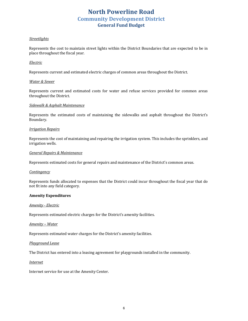## **North Powerline Road Community Development District General Fund Budget**

#### *Streetlights*

Represents the cost to maintain street lights within the District Boundaries that are expected to be in place throughout the fiscal year.

#### *Electric*

Represents current and estimated electric charges of common areas throughout the District.

#### *Water & Sewer*

Represents current and estimated costs for water and refuse services provided for common areas throughout the District.

#### *Sidewalk & Asphalt Maintenance*

Represents the estimated costs of maintaining the sidewalks and asphalt throughout the District's Boundary.

#### *Irrigation Repairs*

Represents the cost of maintaining and repairing the irrigation system. This includes the sprinklers, and irrigation wells.

#### *General Repairs & Maintenance*

Represents estimated costs for general repairs and maintenance of the District's common areas.

#### *Contingency*

Represents funds allocated to expenses that the District could incur throughout the fiscal year that do not fit into any field category.

#### **Amenity Expenditures**

#### *Amenity - Electric*

Represents estimated electric charges for the District's amenity facilities.

#### *Amenity* – Water

Represents estimated water charges for the District's amenity facilities.

#### *Playground Lease*

The District has entered into a leasing agreement for playgrounds installed in the community.

#### *Internet*

Internet service for use at the Amenity Center.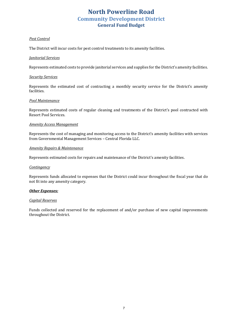# **North Powerline Road Community Development District General Fund Budget**

#### *Pest Control*

The District will incur costs for pest control treatments to its amenity facilities.

#### *Janitorial Services*

Represents estimated costs to provide janitorial services and supplies for the District's amenity facilities.

#### *Security Services*

Represents the estimated cost of contracting a monthly security service for the District's amenity facilities.

#### *Pool Maintenance*

Represents estimated costs of regular cleaning and treatments of the District's pool contracted with Resort Pool Services.

#### *Amenity Access Management*

Represents the cost of managing and monitoring access to the District's amenity facilities with services from Governmental Management Services - Central Florida LLC.

#### *Amenity Repairs & Maintenance*

Represents estimated costs for repairs and maintenance of the District's amenity facilities.

#### *Contingency*

Represents funds allocated to expenses that the District could incur throughout the fiscal year that do not fit into any amenity category.

#### **Other Expenses:**

#### *Capital Reserves*

Funds collected and reserved for the replacement of and/or purchase of new capital improvements throughout the District.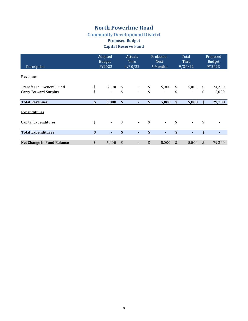# **Community Development District**

### **Proposed Budget**

### **Capital Reserve Fund**

| Description                | Adopted<br><b>Budget</b><br>FY2022 |            | <b>Actuals</b><br>Thru<br>4/30/22 | Projected<br><b>Next</b><br>5 Months | Total<br>Thru<br>9/30/22 |                          | Proposed<br><b>Budget</b><br>FY2023 |        |
|----------------------------|------------------------------------|------------|-----------------------------------|--------------------------------------|--------------------------|--------------------------|-------------------------------------|--------|
| <b>Revenues</b>            |                                    |            |                                   |                                      |                          |                          |                                     |        |
| Transfer In - General Fund | \$<br>5,000                        | \$         |                                   | \$<br>5,000                          | \$                       | 5,000                    | \$                                  | 74,200 |
| Carry Forward Surplus      | \$<br>$\overline{\phantom{a}}$     | \$         | $\overline{\phantom{0}}$          | \$<br>$\overline{\phantom{a}}$       | \$                       | $\overline{\phantom{a}}$ | \$                                  | 5,000  |
| <b>Total Revenues</b>      | \$<br>5,000                        | $\sqrt{2}$ | ٠                                 | \$<br>5,000                          | \$                       | 5,000                    | \$                                  | 79,200 |
| <b>Expenditures</b>        |                                    |            |                                   |                                      |                          |                          |                                     |        |
| Capital Expenditures       | \$<br>$\overline{\phantom{a}}$     | \$         | $\overline{\phantom{a}}$          | \$<br>$\overline{\phantom{a}}$       | \$                       | $\blacksquare$           | \$                                  |        |
| <b>Total Expenditures</b>  | \$<br>$\blacksquare$               | \$         | ٠                                 | \$<br>٠                              | \$                       | $\blacksquare$           | \$                                  |        |
| Net Change in Fund Balance | \$<br>5,000                        | \$         | $\overline{\phantom{a}}$          | \$<br>5,000                          | \$                       | 5,000                    | \$                                  | 79,200 |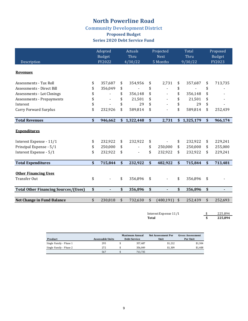### **Community Development District**

### **Proposed Budget Series 2020 Debt Service Fund**

| Description                                 | Adopted<br><b>Budget</b><br>FY2022 | Actuals<br>Thru<br>4/30/22 | Projected<br><b>Next</b><br>5 Months | Total<br>Thru<br>9/30/22 |             | Proposed<br><b>Budget</b><br>FY2023 |
|---------------------------------------------|------------------------------------|----------------------------|--------------------------------------|--------------------------|-------------|-------------------------------------|
| <b>Revenues</b>                             |                                    |                            |                                      |                          |             |                                     |
| Assessments - Tax Roll                      | \$<br>357,687                      | \$<br>354,956              | \$<br>2,731                          | \$                       | 357,687     | \$<br>713,735                       |
| Assessments - Direct Bill                   | 356,049                            | \$                         | \$                                   | \$                       |             | \$                                  |
| Assessments - Lot Closings                  | \$                                 | \$<br>356,148              | \$                                   | \$                       | 356,148     | \$                                  |
| Assessments - Prepayments                   | \$<br>$\blacksquare$               | \$<br>21,501               | \$<br>$\blacksquare$                 | \$                       | 21,501      | \$                                  |
| Interest                                    | \$                                 | \$<br>29                   | \$                                   | \$                       | 29          | \$                                  |
| <b>Carry Forward Surplus</b>                | \$<br>232,926                      | \$<br>589,814              | \$                                   | \$                       | 589,814     | \$<br>252,439                       |
| <b>Total Revenues</b>                       | \$<br>946,662                      | \$1,322,448                | \$<br>2,731                          |                          | \$1,325,179 | \$<br>966,174                       |
| <b>Expenditures</b>                         |                                    |                            |                                      |                          |             |                                     |
| Interest Expense - 11/1                     | \$<br>232,922                      | \$<br>232,922              | \$                                   | \$                       | 232,922     | \$<br>229,241                       |
| Principal Expense - 5/1                     | \$<br>250,000                      | \$                         | \$<br>250,000                        | \$                       | 250,000     | \$<br>255,000                       |
| Interest Expense - 5/1                      | \$<br>232,922                      | \$<br>$\blacksquare$       | \$<br>232,922                        | \$                       | 232,922     | \$<br>229,241                       |
| <b>Total Expenditures</b>                   | \$<br>715,844                      | \$<br>232,922              | \$<br>482,922                        | \$                       | 715,844     | \$<br>713,481                       |
| <b>Other Financing Uses</b>                 |                                    |                            |                                      |                          |             |                                     |
| <b>Transfer Out</b>                         | \$<br>$\overline{\phantom{a}}$     | \$<br>356,896              | \$                                   | \$                       | 356,896     | \$                                  |
| <b>Total Other Financing Sources/(Uses)</b> | \$                                 | \$<br>356,896              | \$                                   | \$                       | 356,896     | \$                                  |
|                                             |                                    |                            |                                      |                          |             |                                     |
| Net Change in Fund Balance                  | \$<br>230,818                      | \$<br>732,630              | \$<br>(480, 191)                     | \$                       | 252,439     | \$<br>252,693                       |

Interest Expense  $11/1$  \$ 225,894 **Total \$** 225,894

|                         |                  | <b>Maximum Annual</b> | Net Assessment Per | <b>Gross Assessment</b> |
|-------------------------|------------------|-----------------------|--------------------|-------------------------|
| Product                 | Assessable Units | <b>Debt Service</b>   | Unit               | Per Unit                |
| Single Family - Phase 1 | 295              | 357.687               | \$1.212            | \$1.304                 |
| Single Family - Phase 2 | 272              | 356.049               | \$1.309            | \$1,408                 |
|                         | 567              | 713.735               |                    |                         |